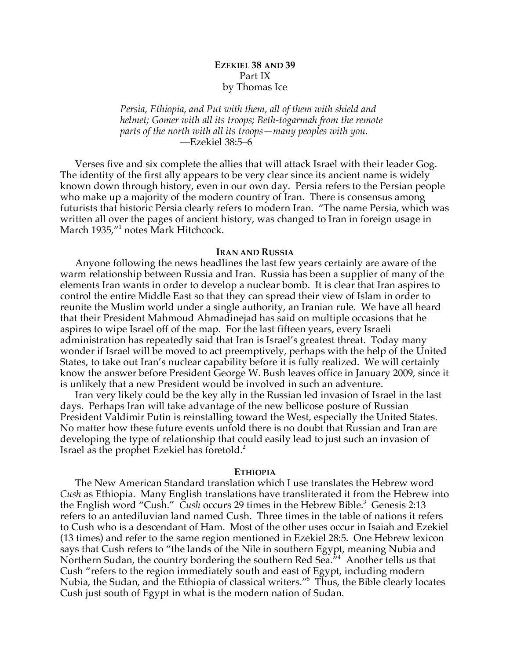# **EZEKIEL 38 AND 39** Part IX by Thomas Ice

*Persia, Ethiopia, and Put with them, all of them with shield and helmet; Gomer with all its troops; Beth-togarmah from the remote parts of the north with all its troops—many peoples with you.* —Ezekiel 38:5–6

Verses five and six complete the allies that will attack Israel with their leader Gog. The identity of the first ally appears to be very clear since its ancient name is widely known down through history, even in our own day. Persia refers to the Persian people who make up a majority of the modern country of Iran. There is consensus among futurists that historic Persia clearly refers to modern Iran. "The name Persia, which was written all over the pages of ancient history, was changed to Iran in foreign usage in March 1935,"<sup>1</sup> notes Mark Hitchcock.

### **IRAN AND RUSSIA**

Anyone following the news headlines the last few years certainly are aware of the warm relationship between Russia and Iran. Russia has been a supplier of many of the elements Iran wants in order to develop a nuclear bomb. It is clear that Iran aspires to control the entire Middle East so that they can spread their view of Islam in order to reunite the Muslim world under a single authority, an Iranian rule. We have all heard that their President Mahmoud Ahmadinejad has said on multiple occasions that he aspires to wipe Israel off of the map. For the last fifteen years, every Israeli administration has repeatedly said that Iran is Israel's greatest threat. Today many wonder if Israel will be moved to act preemptively, perhaps with the help of the United States, to take out Iran's nuclear capability before it is fully realized. We will certainly know the answer before President George W. Bush leaves office in January 2009, since it is unlikely that a new President would be involved in such an adventure.

Iran very likely could be the key ally in the Russian led invasion of Israel in the last days. Perhaps Iran will take advantage of the new bellicose posture of Russian President Valdimir Putin is reinstalling toward the West, especially the United States. No matter how these future events unfold there is no doubt that Russian and Iran are developing the type of relationship that could easily lead to just such an invasion of Israel as the prophet Ezekiel has foretold. 2

#### **ETHIOPIA**

The New American Standard translation which I use translates the Hebrew word *Cush* as Ethiopia. Many English translations have transliterated it from the Hebrew into the English word "Cush." *Cush* occurs 29 times in the Hebrew Bible. <sup>3</sup> Genesis 2:13 refers to an antediluvian land named Cush. Three times in the table of nations it refers to Cush who is a descendant of Ham. Most of the other uses occur in Isaiah and Ezekiel (13 times) and refer to the same region mentioned in Ezekiel 28:5. One Hebrew lexicon says that Cush refers to "the lands of the Nile in southern Egypt, meaning Nubia and Northern Sudan, the country bordering the southern Red Sea."4 Another tells us that Cush "refers to the region immediately south and east of Egypt, including modern Nubia, the Sudan, and the Ethiopia of classical writers."5 Thus, the Bible clearly locates Cush just south of Egypt in what is the modern nation of Sudan.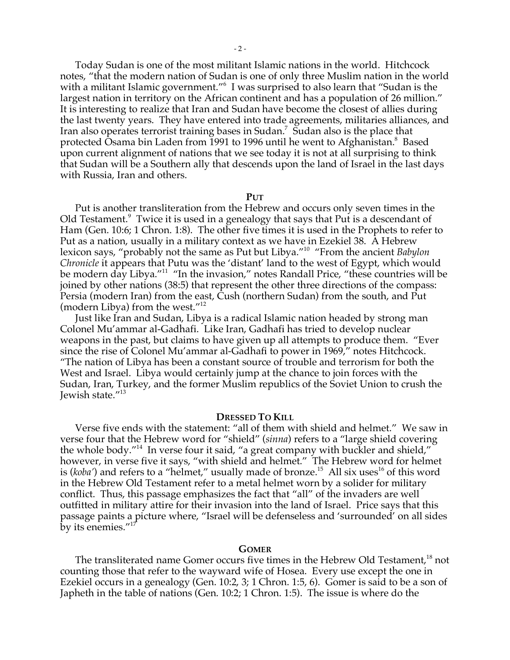Today Sudan is one of the most militant Islamic nations in the world. Hitchcock notes, "that the modern nation of Sudan is one of only three Muslim nation in the world with a militant Islamic government."<sup>6</sup> I was surprised to also learn that "Sudan is the largest nation in territory on the African continent and has a population of 26 million." It is interesting to realize that Iran and Sudan have become the closest of allies during the last twenty years. They have entered into trade agreements, militaries alliances, and Iran also operates terrorist training bases in Sudan.<sup>7</sup> Sudan also is the place that protected Ōsama bin Laden from 1991 to 1996 until he went to Afghanistan.<sup>8</sup> Based upon current alignment of nations that we see today it is not at all surprising to think that Sudan will be a Southern ally that descends upon the land of Israel in the last days with Russia, Iran and others.

## **PUT**

Put is another transliteration from the Hebrew and occurs only seven times in the Old Testament.<sup>9</sup> Twice it is used in a genealogy that says that Put is a descendant of Ham (Gen. 10:6; 1 Chron. 1:8). The other five times it is used in the Prophets to refer to Put as a nation, usually in a military context as we have in Ezekiel 38. A Hebrew lexicon says, "probably not the same as Put but Libya."10 "From the ancient *Babylon Chronicle* it appears that Putu was the 'distant' land to the west of Egypt, which would be modern day Libya."<sup>11</sup> "In the invasion," notes Randall Price, "these countries will be joined by other nations (38:5) that represent the other three directions of the compass: Persia (modern Iran) from the east, Cush (northern Sudan) from the south, and Put (modern Libya) from the west."12

Just like Iran and Sudan, Libya is a radical Islamic nation headed by strong man Colonel Mu'ammar al-Gadhafi. Like Iran, Gadhafi has tried to develop nuclear weapons in the past, but claims to have given up all attempts to produce them. "Ever since the rise of Colonel Mu'ammar al-Gadhafi to power in 1969," notes Hitchcock. "The nation of Libya has been a constant source of trouble and terrorism for both the West and Israel. Libya would certainly jump at the chance to join forces with the Sudan, Iran, Turkey, and the former Muslim republics of the Soviet Union to crush the Jewish state."13

## **DRESSED TO KILL**

Verse five ends with the statement: "all of them with shield and helmet." We saw in verse four that the Hebrew word for "shield" (*sinna*) refers to a "large shield covering the whole body."14 In verse four it said, "a great company with buckler and shield," however, in verse five it says, "with shield and helmet." The Hebrew word for helmet is (koba') and refers to a "helmet," usually made of bronze.<sup>15</sup> All six uses<sup>16</sup> of this word in the Hebrew Old Testament refer to a metal helmet worn by a solider for military conflict. Thus, this passage emphasizes the fact that "all" of the invaders are well outfitted in military attire for their invasion into the land of Israel. Price says that this passage paints a picture where, "Israel will be defenseless and 'surrounded' on all sides by its enemies."<sup>17</sup>

### **GOMER**

The transliterated name Gomer occurs five times in the Hebrew Old Testament,<sup>18</sup> not counting those that refer to the wayward wife of Hosea. Every use except the one in Ezekiel occurs in a genealogy (Gen. 10:2, 3; 1 Chron. 1:5, 6). Gomer is said to be a son of Japheth in the table of nations (Gen. 10:2; 1 Chron. 1:5). The issue is where do the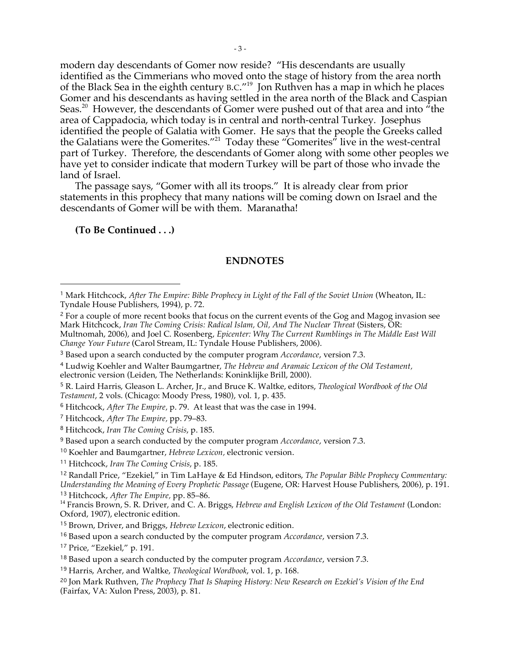modern day descendants of Gomer now reside? "His descendants are usually identified as the Cimmerians who moved onto the stage of history from the area north of the Black Sea in the eighth century B.C."19 Jon Ruthven has a map in which he places Gomer and his descendants as having settled in the area north of the Black and Caspian Seas. $^{20}$  However, the descendants of Gomer were pushed out of that area and into  $^{\prime\prime}$ the area of Cappadocia, which today is in central and north-central Turkey. Josephus identified the people of Galatia with Gomer. He says that the people the Greeks called the Galatians were the Gomerites."21 Today these "Gomerites" live in the west-central part of Turkey. Therefore, the descendants of Gomer along with some other peoples we have yet to consider indicate that modern Turkey will be part of those who invade the land of Israel.

The passage says, "Gomer with all its troops." It is already clear from prior statements in this prophecy that many nations will be coming down on Israel and the descendants of Gomer will be with them. Maranatha!

**(To Be Continued . . .)**

-

## **ENDNOTES**

<sup>17</sup> Price, "Ezekiel," p. 191.

<sup>20</sup> Jon Mark Ruthven, *The Prophecy That Is Shaping History: New Research on Ezekiel's Vision of the End* (Fairfax, VA: Xulon Press, 2003), p. 81.

<sup>1</sup> Mark Hitchcock, *After The Empire: Bible Prophecy in Light of the Fall of the Soviet Union* (Wheaton, IL: Tyndale House Publishers, 1994), p. 72.

<sup>&</sup>lt;sup>2</sup> For a couple of more recent books that focus on the current events of the Gog and Magog invasion see Mark Hitchcock, *Iran The Coming Crisis: Radical Islam, Oil, And The Nuclear Threat* (Sisters, OR: Multnomah, 2006), and Joel C. Rosenberg, *Epicenter: Why The Current Rumblings in The Middle East Will Change Your Future* (Carol Stream, IL: Tyndale House Publishers, 2006).

<sup>3</sup> Based upon a search conducted by the computer program *Accordance*, version 7.3.

<sup>4</sup> Ludwig Koehler and Walter Baumgartner, *The Hebrew and Aramaic Lexicon of the Old Testament,* electronic version (Leiden, The Netherlands: Koninklijke Brill, 2000).

<sup>5</sup> R. Laird Harris, Gleason L. Archer, Jr., and Bruce K. Waltke, editors, *Theological Wordbook of the Old Testament*, 2 vols. (Chicago: Moody Press, 1980), vol. 1, p. 435.

<sup>6</sup> Hitchcock, *After The Empire,* p. 79. At least that was the case in 1994.

<sup>7</sup> Hitchcock, *After The Empire,* pp. 79–83.

<sup>8</sup> Hitchcock, *Iran The Coming Crisis*, p. 185.

<sup>9</sup> Based upon a search conducted by the computer program *Accordance*, version 7.3.

<sup>10</sup> Koehler and Baumgartner, *Hebrew Lexicon,* electronic version.

<sup>11</sup> Hitchcock, *Iran The Coming Crisis*, p. 185.

<sup>12</sup> Randall Price, "Ezekiel," in Tim LaHaye & Ed Hindson, editors, *The Popular Bible Prophecy Commentary: Understanding the Meaning of Every Prophetic Passage* (Eugene, OR: Harvest House Publishers, 2006), p. 191.

<sup>&</sup>lt;sup>13</sup> Hitchcock, *After The Empire*, pp. 85–86.<br><sup>14</sup> Francis Brown, S. R. Driver, and C. A. Briggs, Hebrew and English Lexicon of the Old Testament (London: Oxford, 1907), electronic edition.

<sup>15</sup> Brown, Driver, and Briggs, *Hebrew Lexicon*, electronic edition.

<sup>16</sup> Based upon a search conducted by the computer program *Accordance*, version 7.3.

<sup>18</sup> Based upon a search conducted by the computer program *Accordance*, version 7.3.

<sup>19</sup> Harris, Archer, and Waltke, *Theological Wordbook*, vol. 1, p. 168.